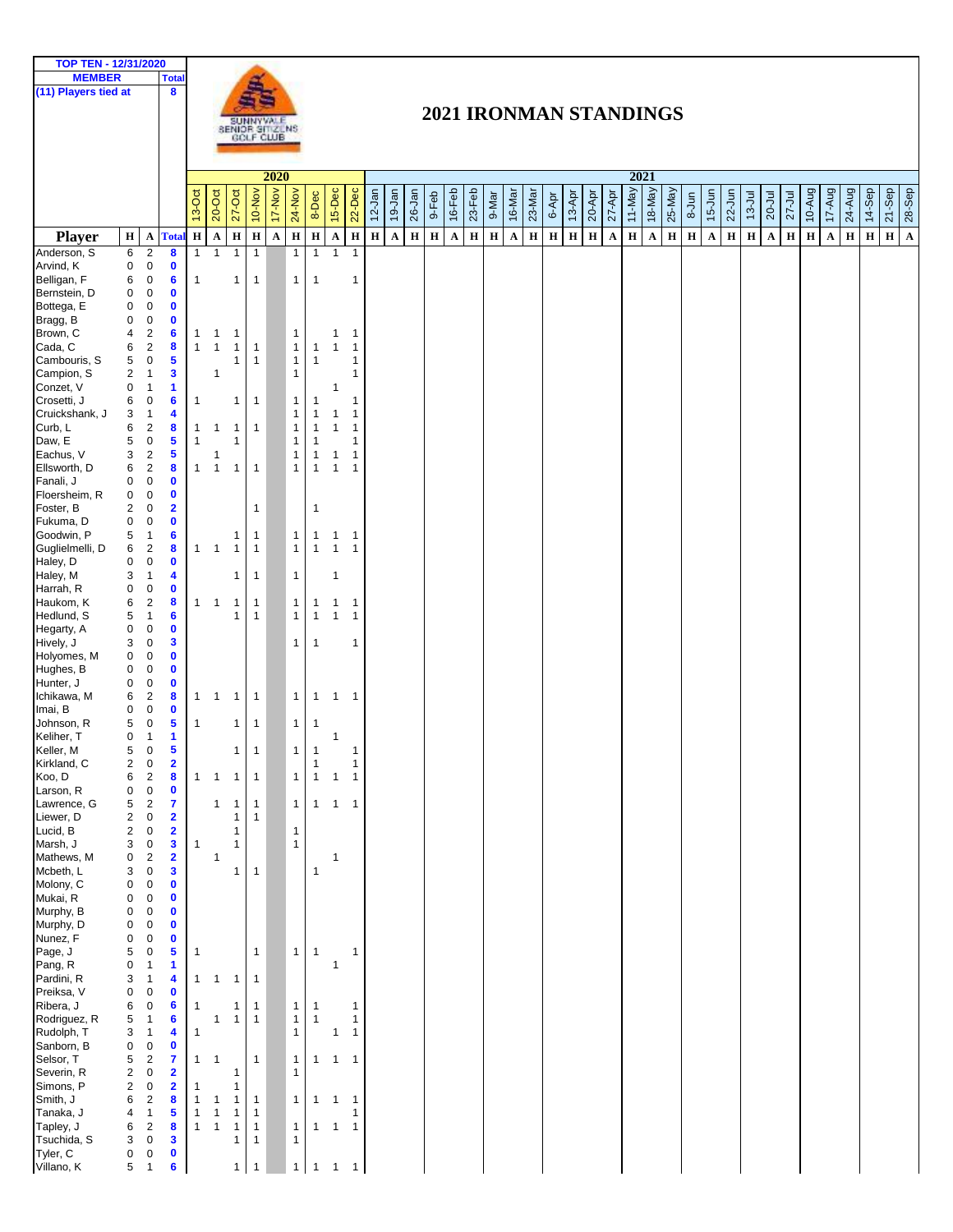| TOP TEN - 12/31/2020<br><b>MEMBER</b> |                         | <b>Total</b>                                                                  |                              |                                |                              |                              |             |                              |                              |                   |                              |             |              |             |         |              |             |              |              |             |             |              |                      |          |                                     |           |                      |            |            |                      |            |             |              |         |         |             |                         |
|---------------------------------------|-------------------------|-------------------------------------------------------------------------------|------------------------------|--------------------------------|------------------------------|------------------------------|-------------|------------------------------|------------------------------|-------------------|------------------------------|-------------|--------------|-------------|---------|--------------|-------------|--------------|--------------|-------------|-------------|--------------|----------------------|----------|-------------------------------------|-----------|----------------------|------------|------------|----------------------|------------|-------------|--------------|---------|---------|-------------|-------------------------|
| (11) Players tied at                  |                         | 8                                                                             |                              |                                |                              |                              |             |                              |                              |                   |                              |             |              |             |         |              |             |              |              |             |             |              |                      |          |                                     |           |                      |            |            |                      |            |             |              |         |         |             |                         |
|                                       |                         |                                                                               |                              |                                |                              |                              |             |                              |                              |                   |                              |             |              |             |         |              |             |              |              |             |             |              |                      |          |                                     |           |                      |            |            |                      |            |             |              |         |         |             |                         |
|                                       |                         |                                                                               |                              |                                |                              |                              |             |                              |                              |                   |                              |             |              |             |         |              |             |              |              |             |             |              |                      |          | 2021 IRONMAN STANDINGS              |           |                      |            |            |                      |            |             |              |         |         |             |                         |
|                                       |                         |                                                                               |                              |                                | SUNNYVALE<br>SENIOR SITIZENS |                              |             |                              |                              |                   |                              |             |              |             |         |              |             |              |              |             |             |              |                      |          |                                     |           |                      |            |            |                      |            |             |              |         |         |             |                         |
|                                       |                         |                                                                               |                              |                                |                              |                              |             |                              |                              |                   |                              |             |              |             |         |              |             |              |              |             |             |              |                      |          |                                     |           |                      |            |            |                      |            |             |              |         |         |             |                         |
|                                       |                         |                                                                               |                              |                                |                              |                              | 2020        | 2021                         |                              |                   |                              |             |              |             |         |              |             |              |              |             |             |              |                      |          |                                     |           |                      |            |            |                      |            |             |              |         |         |             |                         |
|                                       |                         |                                                                               |                              |                                |                              |                              |             |                              |                              |                   |                              |             |              |             |         |              |             |              |              |             |             |              |                      |          |                                     |           |                      |            |            |                      |            |             |              |         |         |             |                         |
|                                       |                         |                                                                               | 13-Oct                       | 20-Oct                         | $27 - Oct$                   | 10-Nov                       | 17-Nov      | 24-Nov                       | 8-Dec                        | 15-Dec            | 22-Dec                       | $12$ -Jan   | 19-Jan       | 26-Jan      | 9-Feb   | 16-Feb       | 23-Feb      | 9-Mar        | 16-Mar       | 23-Mar      | 6-Apr       | 13-Apr       | $27 - Apr$<br>20-Apr | $11-May$ | 18-May<br>$25$ -May                 | $8 - Jun$ | $15 - Jun$           | $22 - Jun$ | $13 -$ Jul | 20-Jul               | $27 -$ Jul | 10-Aug      | 17-Aug       | 24-Aug  | 14-Sep  | $21 - Sep$  | $28-$ Sep               |
|                                       |                         |                                                                               |                              |                                |                              |                              |             |                              |                              |                   |                              |             |              |             |         |              |             |              |              |             |             |              |                      |          |                                     |           |                      |            |            |                      |            |             |              |         |         |             |                         |
| <b>Player</b>                         | H                       | $\mathbf A$<br><b>Tota</b>                                                    | $\, {\bf H} \,$              | $\mathbf A$                    | $\mathbf H$                  | $\mathbf H$                  | $\mathbf A$ | $\bf H$                      | $\bf H$                      | $\mathbf{A}$      | $\bf H$                      | $\mathbf H$ | $\mathbf{A}$ | $\mathbf H$ | $\bf H$ | $\mathbf{A}$ | $\mathbf H$ | $\, {\bf H}$ | $\mathbf{A}$ | $\mathbf H$ | $\mathbf H$ | $\, {\bf H}$ | $\mathbf H$<br>A     | $\bf H$  | $\mathbf H$<br>$\boldsymbol{\rm A}$ | $\bf H$   | $\boldsymbol{\rm A}$ | $\bf H$    | $\bf H$    | $\boldsymbol{\rm A}$ | $\bf H$    | $\mathbf H$ | $\mathbf{A}$ | $\bf H$ | $\bf H$ | $\mathbf H$ | $\overline{\mathbf{A}}$ |
| Anderson, S                           | 6                       | $\sqrt{2}$<br>8                                                               | $\mathbf{1}$                 | $\overline{1}$                 | $\mathbf{1}$                 | $\mathbf{1}$                 |             | $\mathbf{1}$                 | $\mathbf{1}$                 | $\mathbf{1}$      | $\mathbf{1}$                 |             |              |             |         |              |             |              |              |             |             |              |                      |          |                                     |           |                      |            |            |                      |            |             |              |         |         |             |                         |
| Arvind, K<br>Belligan, F              | 0<br>6                  | $\pmb{0}$<br>$\mathbf 0$<br>$\pmb{0}$<br>6                                    | $\mathbf{1}$                 |                                | $\mathbf{1}$                 | $\mathbf{1}$                 |             | $\mathbf{1}$                 | $\mathbf{1}$                 |                   | 1                            |             |              |             |         |              |             |              |              |             |             |              |                      |          |                                     |           |                      |            |            |                      |            |             |              |         |         |             |                         |
| Bernstein, D                          | 0                       | $\pmb{0}$<br>$\mathbf 0$                                                      |                              |                                |                              |                              |             |                              |                              |                   |                              |             |              |             |         |              |             |              |              |             |             |              |                      |          |                                     |           |                      |            |            |                      |            |             |              |         |         |             |                         |
| Bottega, E                            | 0                       | $\pmb{0}$<br>$\mathbf 0$                                                      |                              |                                |                              |                              |             |                              |                              |                   |                              |             |              |             |         |              |             |              |              |             |             |              |                      |          |                                     |           |                      |            |            |                      |            |             |              |         |         |             |                         |
| Bragg, B                              | 0                       | $\boldsymbol{0}$<br>$\mathbf 0$                                               |                              |                                |                              |                              |             |                              |                              |                   |                              |             |              |             |         |              |             |              |              |             |             |              |                      |          |                                     |           |                      |            |            |                      |            |             |              |         |         |             |                         |
| Brown, C                              | 4                       | $\overline{2}$<br>$6\phantom{1}6$<br>$\overline{2}$<br>8                      | 1<br>$\mathbf{1}$            | $\mathbf{1}$<br>$\overline{1}$ | 1                            |                              |             | $\mathbf{1}$                 |                              | 1<br>$\mathbf{1}$ | $\mathbf{1}$<br>$\mathbf{1}$ |             |              |             |         |              |             |              |              |             |             |              |                      |          |                                     |           |                      |            |            |                      |            |             |              |         |         |             |                         |
| Cada, C<br>Cambouris, S               | 6<br>5                  | 5<br>$\pmb{0}$                                                                |                              |                                | 1<br>1                       | 1<br>1                       |             | $\mathbf{1}$<br>$\mathbf{1}$ | $\mathbf{1}$<br>$\mathbf{1}$ |                   | 1                            |             |              |             |         |              |             |              |              |             |             |              |                      |          |                                     |           |                      |            |            |                      |            |             |              |         |         |             |                         |
| Campion, S                            | $\overline{\mathbf{c}}$ | 3<br>$\mathbf{1}$                                                             |                              | 1                              |                              |                              |             | $\mathbf{1}$                 |                              |                   | 1                            |             |              |             |         |              |             |              |              |             |             |              |                      |          |                                     |           |                      |            |            |                      |            |             |              |         |         |             |                         |
| Conzet, V                             | 0                       | $\mathbf{1}$<br>1                                                             |                              |                                |                              |                              |             |                              |                              | 1                 |                              |             |              |             |         |              |             |              |              |             |             |              |                      |          |                                     |           |                      |            |            |                      |            |             |              |         |         |             |                         |
| Crosetti, J                           | 6                       | 6<br>$\pmb{0}$                                                                | 1                            |                                | 1                            | $\mathbf{1}$                 |             | $\mathbf{1}$                 | $\mathbf{1}$                 |                   | 1                            |             |              |             |         |              |             |              |              |             |             |              |                      |          |                                     |           |                      |            |            |                      |            |             |              |         |         |             |                         |
| Cruickshank, J<br>Curb, L             | 3<br>6                  | 4<br>$\mathbf{1}$<br>2<br>8                                                   | 1                            | $\mathbf{1}$                   | $\mathbf{1}$                 | 1                            |             | $\mathbf{1}$<br>$\mathbf{1}$ | $\mathbf{1}$<br>$\mathbf{1}$ | 1<br>$\mathbf{1}$ | $\mathbf{1}$<br>1            |             |              |             |         |              |             |              |              |             |             |              |                      |          |                                     |           |                      |            |            |                      |            |             |              |         |         |             |                         |
| Daw, E                                | 5                       | $\pmb{0}$<br>5                                                                | $\mathbf{1}$                 |                                | 1                            |                              |             | $\mathbf{1}$                 | $\mathbf{1}$                 |                   | 1                            |             |              |             |         |              |             |              |              |             |             |              |                      |          |                                     |           |                      |            |            |                      |            |             |              |         |         |             |                         |
| Eachus, V                             | 3                       | 5<br>$\overline{2}$                                                           |                              | 1                              |                              |                              |             | $\mathbf{1}$                 | $\mathbf{1}$                 | $\mathbf 1$       | 1                            |             |              |             |         |              |             |              |              |             |             |              |                      |          |                                     |           |                      |            |            |                      |            |             |              |         |         |             |                         |
| Ellsworth, D                          | 6                       | $\overline{2}$<br>8                                                           | $\mathbf{1}$                 | $\overline{1}$                 | $\mathbf{1}$                 | $\mathbf{1}$                 |             | $\mathbf{1}$                 | $\mathbf{1}$                 | $\mathbf{1}$      | $\mathbf{1}$                 |             |              |             |         |              |             |              |              |             |             |              |                      |          |                                     |           |                      |            |            |                      |            |             |              |         |         |             |                         |
| Fanali, J<br>Floersheim, R            | 0<br>0                  | $\mathbf 0$<br>$\mathbf 0$<br>$\pmb{0}$<br>$\mathbf 0$                        |                              |                                |                              |                              |             |                              |                              |                   |                              |             |              |             |         |              |             |              |              |             |             |              |                      |          |                                     |           |                      |            |            |                      |            |             |              |         |         |             |                         |
| Foster, B                             | $\overline{\mathbf{c}}$ | $\mathbf 0$<br>$\overline{\mathbf{2}}$                                        |                              |                                |                              | $\mathbf{1}$                 |             |                              | 1                            |                   |                              |             |              |             |         |              |             |              |              |             |             |              |                      |          |                                     |           |                      |            |            |                      |            |             |              |         |         |             |                         |
| Fukuma, D                             | $\mathbf 0$             | $\mathbf 0$<br>$\mathbf 0$                                                    |                              |                                |                              |                              |             |                              |                              |                   |                              |             |              |             |         |              |             |              |              |             |             |              |                      |          |                                     |           |                      |            |            |                      |            |             |              |         |         |             |                         |
| Goodwin, P                            | 5                       | $\mathbf{1}$<br>6                                                             |                              |                                | 1                            | 1                            |             | $\mathbf{1}$                 | $\mathbf{1}$                 | $\mathbf{1}$      | $\mathbf{1}$                 |             |              |             |         |              |             |              |              |             |             |              |                      |          |                                     |           |                      |            |            |                      |            |             |              |         |         |             |                         |
| Guglielmelli, D<br>Haley, D           | 6<br>$\mathbf 0$        | $\overline{2}$<br>8<br>$\pmb{0}$<br>$\mathbf 0$                               | 1                            | $\overline{1}$                 | $\overline{1}$               | $\mathbf{1}$                 |             | $\mathbf{1}$                 | $\mathbf{1}$                 | $\mathbf{1}$      | $\mathbf{1}$                 |             |              |             |         |              |             |              |              |             |             |              |                      |          |                                     |           |                      |            |            |                      |            |             |              |         |         |             |                         |
| Haley, M                              | 3                       | $\mathbf{1}$<br>4                                                             |                              |                                | 1                            | $\mathbf{1}$                 |             | $\mathbf{1}$                 |                              | 1                 |                              |             |              |             |         |              |             |              |              |             |             |              |                      |          |                                     |           |                      |            |            |                      |            |             |              |         |         |             |                         |
| Harrah, R                             | 0                       | $\pmb{0}$<br>$\mathbf 0$                                                      |                              |                                |                              |                              |             |                              |                              |                   |                              |             |              |             |         |              |             |              |              |             |             |              |                      |          |                                     |           |                      |            |            |                      |            |             |              |         |         |             |                         |
| Haukom, K                             | 6                       | $\sqrt{2}$<br>8                                                               | $\mathbf{1}$                 | $\overline{1}$                 | $\mathbf 1$                  | $\mathbf{1}$                 |             | $\mathbf{1}$                 | $\mathbf{1}$                 | $\mathbf{1}$      | $\mathbf{1}$                 |             |              |             |         |              |             |              |              |             |             |              |                      |          |                                     |           |                      |            |            |                      |            |             |              |         |         |             |                         |
| Hedlund, S<br>Hegarty, A              | 5<br>0                  | $6\phantom{1}6$<br>$\mathbf{1}$<br>$\pmb{0}$<br>$\mathbf 0$                   |                              |                                | 1                            | $\mathbf{1}$                 |             | $\mathbf{1}$                 | $\mathbf{1}$                 | $\mathbf{1}$      | $\mathbf{1}$                 |             |              |             |         |              |             |              |              |             |             |              |                      |          |                                     |           |                      |            |            |                      |            |             |              |         |         |             |                         |
| Hively, J                             | 3                       | $\mathbf 0$<br>3                                                              |                              |                                |                              |                              |             | $\mathbf{1}$                 | $\mathbf{1}$                 |                   | 1                            |             |              |             |         |              |             |              |              |             |             |              |                      |          |                                     |           |                      |            |            |                      |            |             |              |         |         |             |                         |
| Holyomes, M                           | 0                       | $\pmb{0}$<br>$\mathbf 0$                                                      |                              |                                |                              |                              |             |                              |                              |                   |                              |             |              |             |         |              |             |              |              |             |             |              |                      |          |                                     |           |                      |            |            |                      |            |             |              |         |         |             |                         |
| Hughes, B<br>Hunter, J                | 0<br>$\mathbf 0$        | $\pmb{0}$<br>$\mathbf 0$<br>$\mathbf 0$<br>$\mathbf 0$                        |                              |                                |                              |                              |             |                              |                              |                   |                              |             |              |             |         |              |             |              |              |             |             |              |                      |          |                                     |           |                      |            |            |                      |            |             |              |         |         |             |                         |
| Ichikawa, M                           | 6                       | $\sqrt{2}$<br>8                                                               | $\mathbf{1}$                 | $\mathbf{1}$                   | $\overline{1}$               | $\mathbf{1}$                 |             | $\mathbf{1}$                 | $\mathbf{1}$                 | $\mathbf{1}$      | $\overline{1}$               |             |              |             |         |              |             |              |              |             |             |              |                      |          |                                     |           |                      |            |            |                      |            |             |              |         |         |             |                         |
| Imai, B                               | 0                       | $\mathbf 0$<br>$\mathbf 0$                                                    |                              |                                |                              |                              |             |                              |                              |                   |                              |             |              |             |         |              |             |              |              |             |             |              |                      |          |                                     |           |                      |            |            |                      |            |             |              |         |         |             |                         |
| Johnson, R                            | 5                       | 5<br>$\pmb{0}$                                                                | $\mathbf{1}$                 |                                | 1                            | $\mathbf{1}$                 |             | $\mathbf{1}$                 | $\mathbf{1}$                 |                   |                              |             |              |             |         |              |             |              |              |             |             |              |                      |          |                                     |           |                      |            |            |                      |            |             |              |         |         |             |                         |
| Keliher, T<br>Keller, M               | 0<br>5                  | 1<br>$\mathbf{1}$<br>$\pmb{0}$<br>5                                           |                              |                                | $\mathbf{1}$                 | $\mathbf{1}$                 |             | $\mathbf{1}$                 | 1                            | 1                 | $\mathbf{1}$                 |             |              |             |         |              |             |              |              |             |             |              |                      |          |                                     |           |                      |            |            |                      |            |             |              |         |         |             |                         |
| Kirkland, C                           | $\overline{\mathbf{c}}$ | $\overline{\mathbf{2}}$<br>$\pmb{0}$                                          |                              |                                |                              |                              |             |                              | 1                            |                   | $\mathbf{1}$                 |             |              |             |         |              |             |              |              |             |             |              |                      |          |                                     |           |                      |            |            |                      |            |             |              |         |         |             |                         |
| Koo, D                                | 6                       | $\sqrt{2}$<br>$\bf{8}$                                                        | $\mathbf{1}$                 | $\overline{1}$                 | $\mathbf{1}$                 | $\mathbf{1}$                 |             | $\mathbf{1}$                 | $\mathbf{1}$                 | $\mathbf{1}$      | $\mathbf{1}$                 |             |              |             |         |              |             |              |              |             |             |              |                      |          |                                     |           |                      |            |            |                      |            |             |              |         |         |             |                         |
| Larson, R                             | 0                       | $\pmb{0}$<br>$\mathbf 0$                                                      |                              |                                |                              |                              |             | $\mathbf{1}$                 |                              |                   |                              |             |              |             |         |              |             |              |              |             |             |              |                      |          |                                     |           |                      |            |            |                      |            |             |              |         |         |             |                         |
| Lawrence, G<br>Liewer, D              | 5<br>2                  | $\sqrt{2}$<br>$\overline{\mathbf{r}}$<br>$\pmb{0}$<br>$\overline{\mathbf{2}}$ |                              | 1                              | 1<br>1                       | $\mathbf{1}$<br>$\mathbf{1}$ |             |                              | $\mathbf{1}$                 | $\mathbf{1}$      | $\mathbf{1}$                 |             |              |             |         |              |             |              |              |             |             |              |                      |          |                                     |           |                      |            |            |                      |            |             |              |         |         |             |                         |
| Lucid, B                              | $\overline{\mathbf{c}}$ | $\pmb{0}$<br>$\overline{\mathbf{2}}$                                          |                              |                                | 1                            |                              |             | $\mathbf{1}$                 |                              |                   |                              |             |              |             |         |              |             |              |              |             |             |              |                      |          |                                     |           |                      |            |            |                      |            |             |              |         |         |             |                         |
| Marsh, J                              | 3                       | $\pmb{0}$<br>3                                                                | $\mathbf{1}$                 |                                | 1                            |                              |             | $\mathbf{1}$                 |                              |                   |                              |             |              |             |         |              |             |              |              |             |             |              |                      |          |                                     |           |                      |            |            |                      |            |             |              |         |         |             |                         |
| Mathews, M<br>Mcbeth, L               | 0<br>3                  | $\sqrt{2}$<br>$\overline{\mathbf{2}}$<br>$\boldsymbol{0}$<br>$\mathbf{3}$     |                              | 1                              | 1                            | $\mathbf{1}$                 |             |                              | $\mathbf{1}$                 | 1                 |                              |             |              |             |         |              |             |              |              |             |             |              |                      |          |                                     |           |                      |            |            |                      |            |             |              |         |         |             |                         |
| Molony, C                             | 0                       | $\pmb{0}$<br>$\mathbf 0$                                                      |                              |                                |                              |                              |             |                              |                              |                   |                              |             |              |             |         |              |             |              |              |             |             |              |                      |          |                                     |           |                      |            |            |                      |            |             |              |         |         |             |                         |
| Mukai, R                              | 0                       | $\pmb{0}$<br>$\mathbf 0$                                                      |                              |                                |                              |                              |             |                              |                              |                   |                              |             |              |             |         |              |             |              |              |             |             |              |                      |          |                                     |           |                      |            |            |                      |            |             |              |         |         |             |                         |
| Murphy, B<br>Murphy, D                | 0<br>0                  | $\mathbf 0$<br>$\mathbf 0$<br>$\pmb{0}$<br>$\mathbf 0$                        |                              |                                |                              |                              |             |                              |                              |                   |                              |             |              |             |         |              |             |              |              |             |             |              |                      |          |                                     |           |                      |            |            |                      |            |             |              |         |         |             |                         |
| Nunez, F                              | 0                       | $\pmb{0}$<br>$\mathbf 0$                                                      |                              |                                |                              |                              |             |                              |                              |                   |                              |             |              |             |         |              |             |              |              |             |             |              |                      |          |                                     |           |                      |            |            |                      |            |             |              |         |         |             |                         |
| Page, J                               | 5                       | $\pmb{0}$<br>5                                                                | 1                            |                                |                              | $\mathbf{1}$                 |             | $\mathbf{1}$                 | $\mathbf{1}$                 |                   | 1                            |             |              |             |         |              |             |              |              |             |             |              |                      |          |                                     |           |                      |            |            |                      |            |             |              |         |         |             |                         |
| Pang, R                               | 0                       | $\mathbf{1}$<br>1                                                             |                              |                                |                              |                              |             |                              |                              | 1                 |                              |             |              |             |         |              |             |              |              |             |             |              |                      |          |                                     |           |                      |            |            |                      |            |             |              |         |         |             |                         |
| Pardini, R<br>Preiksa, V              | 3<br>0                  | $\mathbf{1}$<br>4<br>$\pmb{0}$<br>$\mathbf 0$                                 | $\mathbf{1}$                 | $\mathbf{1}$                   | $\overline{1}$               | $\mathbf{1}$                 |             |                              |                              |                   |                              |             |              |             |         |              |             |              |              |             |             |              |                      |          |                                     |           |                      |            |            |                      |            |             |              |         |         |             |                         |
| Ribera, J                             | 6                       | $6\phantom{a}$<br>$\pmb{0}$                                                   | 1                            |                                | 1                            | $\mathbf{1}$                 |             | $\mathbf{1}$                 | $\mathbf{1}$                 |                   | 1                            |             |              |             |         |              |             |              |              |             |             |              |                      |          |                                     |           |                      |            |            |                      |            |             |              |         |         |             |                         |
| Rodriguez, R                          | 5                       | 6<br>$\mathbf{1}$                                                             |                              | 1                              | 1                            | $\mathbf{1}$                 |             | $\mathbf{1}$                 | $\mathbf{1}$                 |                   | $\mathbf{1}$                 |             |              |             |         |              |             |              |              |             |             |              |                      |          |                                     |           |                      |            |            |                      |            |             |              |         |         |             |                         |
| Rudolph, T<br>Sanborn, B              | 3<br>0                  | $\mathbf{1}$<br>4<br>$\mathbf 0$<br>$\pmb{0}$                                 | $\mathbf{1}$                 |                                |                              |                              |             | $\mathbf{1}$                 |                              | 1                 | $\mathbf{1}$                 |             |              |             |         |              |             |              |              |             |             |              |                      |          |                                     |           |                      |            |            |                      |            |             |              |         |         |             |                         |
| Selsor, T                             | 5                       | $\overline{\mathbf{7}}$<br>$\sqrt{2}$                                         | $\mathbf{1}$                 | $\mathbf{1}$                   |                              | $\mathbf{1}$                 |             | $\mathbf{1}$                 | $\mathbf{1}$                 | $\mathbf{1}$      | $\mathbf{1}$                 |             |              |             |         |              |             |              |              |             |             |              |                      |          |                                     |           |                      |            |            |                      |            |             |              |         |         |             |                         |
| Severin, R                            | $\overline{\mathbf{c}}$ | $\overline{\mathbf{2}}$<br>$\pmb{0}$                                          |                              |                                | 1                            |                              |             | $\mathbf{1}$                 |                              |                   |                              |             |              |             |         |              |             |              |              |             |             |              |                      |          |                                     |           |                      |            |            |                      |            |             |              |         |         |             |                         |
| Simons, P                             | $\overline{\mathbf{c}}$ | $\overline{\mathbf{2}}$<br>$\boldsymbol{0}$                                   | $\mathbf{1}$                 |                                | 1                            |                              |             |                              |                              |                   |                              |             |              |             |         |              |             |              |              |             |             |              |                      |          |                                     |           |                      |            |            |                      |            |             |              |         |         |             |                         |
| Smith, J<br>Tanaka, J                 | 6<br>4                  | 8<br>$\overline{2}$<br>$\mathbf{1}$<br>5                                      | $\mathbf{1}$<br>$\mathbf{1}$ | 1<br>1                         | 1<br>1                       | $\mathbf{1}$<br>$\mathbf{1}$ |             | $\mathbf{1}$                 | $\mathbf{1}$                 | $\mathbf{1}$      | $\mathbf{1}$<br>1            |             |              |             |         |              |             |              |              |             |             |              |                      |          |                                     |           |                      |            |            |                      |            |             |              |         |         |             |                         |
| Tapley, J                             | 6                       | $\sqrt{2}$<br>8                                                               | $\mathbf{1}$                 | $\overline{1}$                 | 1                            | $\mathbf{1}$                 |             | $\mathbf{1}$                 | $\mathbf{1}$                 | $\mathbf{1}$      | $\mathbf{1}$                 |             |              |             |         |              |             |              |              |             |             |              |                      |          |                                     |           |                      |            |            |                      |            |             |              |         |         |             |                         |
| Tsuchida, S                           | 3                       | $\pmb{0}$<br>$\mathbf{3}$                                                     |                              |                                | 1                            | $\mathbf{1}$                 |             | $\mathbf{1}$                 |                              |                   |                              |             |              |             |         |              |             |              |              |             |             |              |                      |          |                                     |           |                      |            |            |                      |            |             |              |         |         |             |                         |
| Tyler, C<br>Villano, K                | 0<br>5                  | $\mathbf 0$<br>$\mathbf 0$<br>$\mathbf{1}$<br>6                               |                              |                                | $\mathbf{1}$                 | $\mathbf{1}$                 |             | $\mathbf{1}$                 | $\mathbf{1}$                 | $\mathbf{1}$      | $\mathbf{1}$                 |             |              |             |         |              |             |              |              |             |             |              |                      |          |                                     |           |                      |            |            |                      |            |             |              |         |         |             |                         |
|                                       |                         |                                                                               |                              |                                |                              |                              |             |                              |                              |                   |                              |             |              |             |         |              |             |              |              |             |             |              |                      |          |                                     |           |                      |            |            |                      |            |             |              |         |         |             |                         |